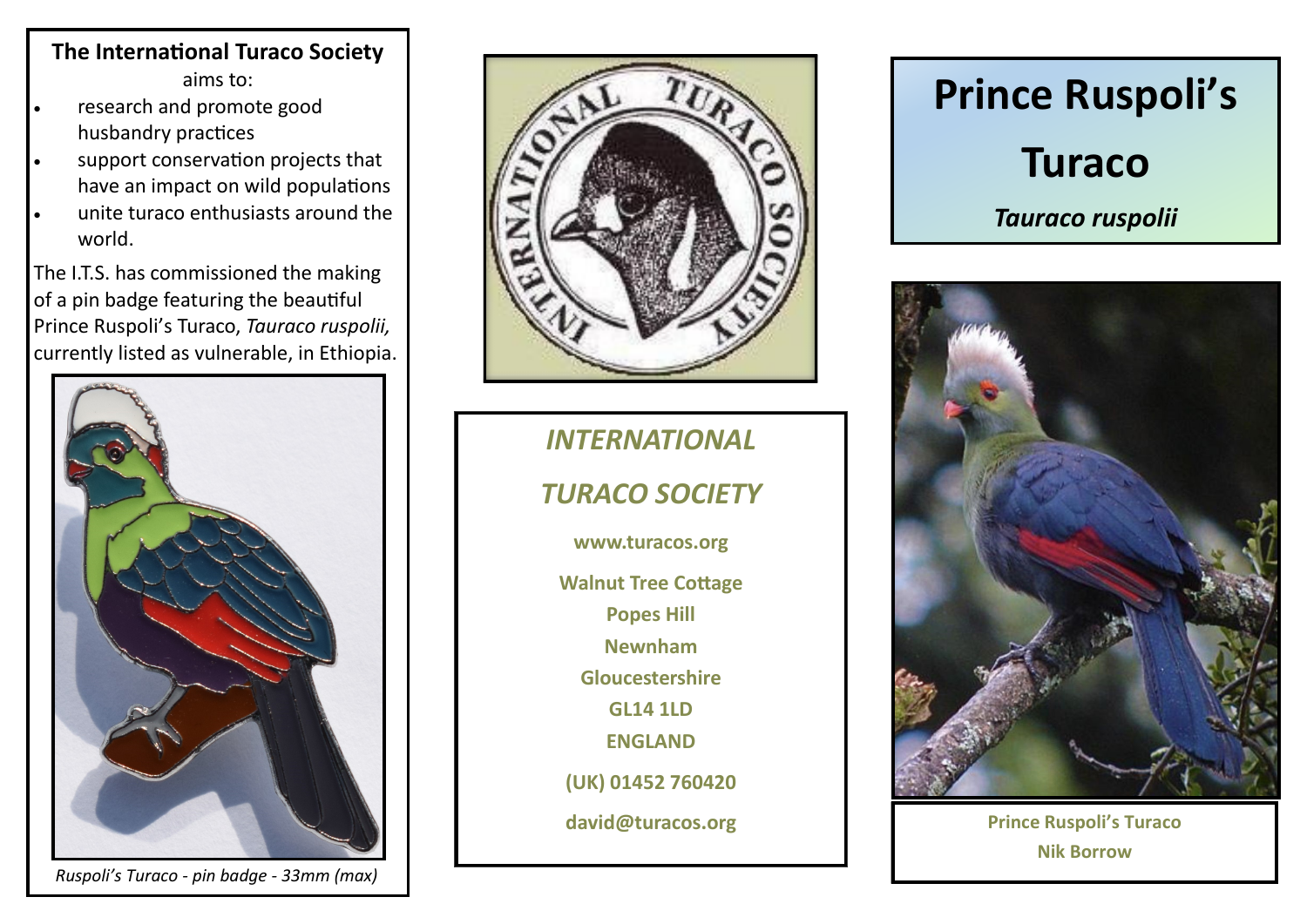## **The International Turaco Society**  aims to:

- research and promote good husbandry practices
- support conservation projects that have an impact on wild populations
- unite turaco enthusiasts around the world.

The I.T.S. has commissioned the making of a pin badge featuring the beautiful Prince Ruspoli's Turaco, *Tauraco ruspolii,* currently listed as vulnerable, in Ethiopia.



*Ruspoli's Turaco - pin badge - 33mm (max)*



## *INTERNATIONAL*

## *TURACO SOCIETY*

**www.turacos.org**

**Walnut Tree Cottage Popes Hill**

**Newnham**

**Gloucestershire**

**GL14 1LD**

**ENGLAND** 

**(UK) 01452 760420**

**david@turacos.org**

## **Prince Ruspoli's Turaco** *Tauraco ruspolii*



**Prince Ruspoli's Turaco Nik Borrow**